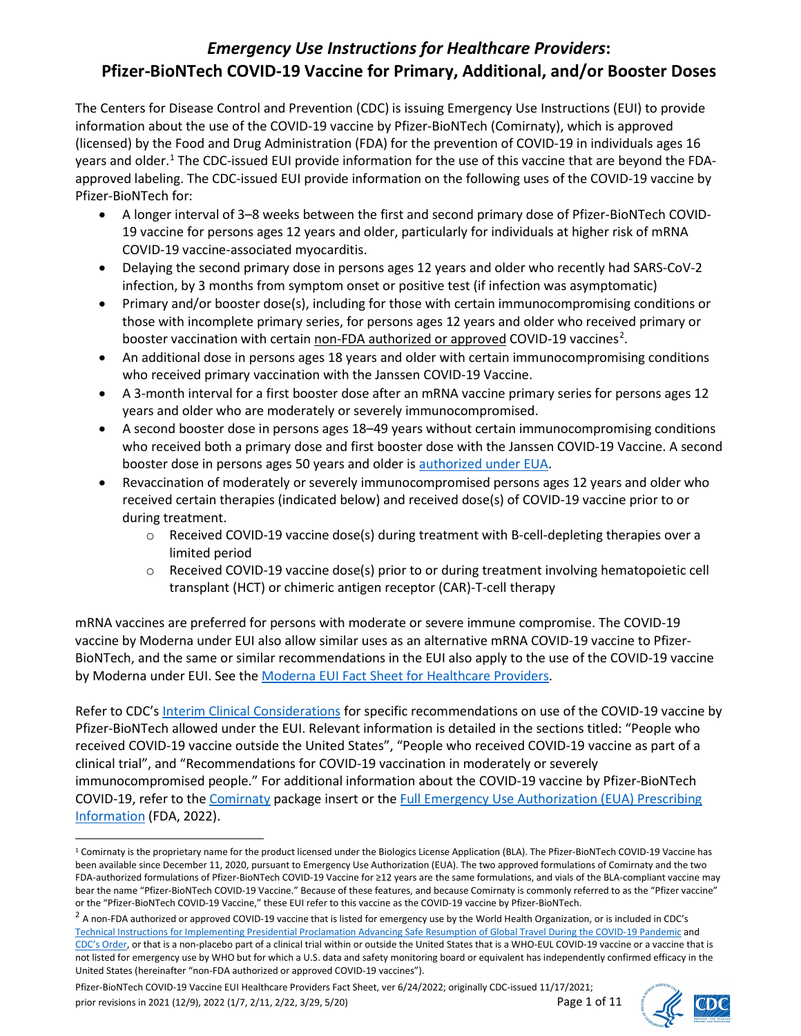# *Emergency Use Instructions for Healthcare Providers***: Pfizer-BioNTech COVID-19 Vaccine for Primary, Additional, and/or Booster Doses**

The Centers for Disease Control and Prevention (CDC) is issuing Emergency Use Instructions (EUI) to provide information about the use of the COVID-19 vaccine by Pfizer-BioNTech (Comirnaty), which is approved (licensed) by the Food and Drug Administration (FDA) for the prevention of COVID-19 in individuals ages 16 years and older.<sup>[1](#page-0-0)</sup> The CDC-issued EUI provide information for the use of this vaccine that are beyond the FDAapproved labeling. The CDC-issued EUI provide information on the following uses of the COVID-19 vaccine by Pfizer-BioNTech for:

- A longer interval of 3–8 weeks between the first and second primary dose of Pfizer-BioNTech COVID-19 vaccine for persons ages 12 years and older, particularly for individuals at higher risk of mRNA COVID-19 vaccine-associated myocarditis.
- Delaying the second primary dose in persons ages 12 years and older who recently had SARS-CoV-2 infection, by 3 months from symptom onset or positive test (if infection was asymptomatic)
- Primary and/or booster dose(s), including for those with certain immunocompromising conditions or those with incomplete primary series, for persons ages 12 years and older who received primary or booster vaccination with certain non-FDA authorized or approved COVID-19 vaccines<sup>[2](#page-0-1)</sup>.
- An additional dose in persons ages 18 years and older with certain immunocompromising conditions who received primary vaccination with the Janssen COVID-19 Vaccine.
- A 3-month interval for a first booster dose after an mRNA vaccine primary series for persons ages 12 years and older who are moderately or severely immunocompromised.
- A second booster dose in persons ages 18–49 years without certain immunocompromising conditions who received both a primary dose and first booster dose with the Janssen COVID-19 Vaccine. A second booster dose in persons ages 50 years and older is [authorized under EUA.](https://www.fda.gov/news-events/press-announcements/coronavirus-covid-19-update-fda-authorizes-second-booster-dose-two-covid-19-vaccines-older-and)
- Revaccination of moderately or severely immunocompromised persons ages 12 years and older who received certain therapies (indicated below) and received dose(s) of COVID-19 vaccine prior to or during treatment.
	- $\circ$  Received COVID-19 vaccine dose(s) during treatment with B-cell-depleting therapies over a limited period
	- $\circ$  Received COVID-19 vaccine dose(s) prior to or during treatment involving hematopoietic cell transplant (HCT) or chimeric antigen receptor (CAR)-T-cell therapy

mRNA vaccines are preferred for persons with moderate or severe immune compromise. The COVID-19 vaccine by Moderna under EUI also allow similar uses as an alternative mRNA COVID-19 vaccine to Pfizer-BioNTech, and the same or similar recommendations in the EUI also apply to the use of the COVID-19 vaccine by Moderna under EUI. See the [Moderna EUI Fact Sheet for Healthcare Providers.](https://www.cdc.gov/vaccines/covid-19/eui/downloads/moderna-HCP.pdf)

Refer to CDC's [Interim Clinical Considerations](https://www.cdc.gov/vaccines/covid-19/clinical-considerations/covid-19-vaccines-us.html) for specific recommendations on use of the COVID-19 vaccine by Pfizer-BioNTech allowed under the EUI. Relevant information is detailed in the sections titled: "People who received COVID-19 vaccine outside the United States", "People who received COVID-19 vaccine as part of a clinical trial", and "Recommendations for COVID-19 vaccination in moderately or severely immunocompromised people." For additional information about the COVID-19 vaccine by Pfizer-BioNTech COVID-19, refer to the [Comirnaty](https://www.fda.gov/media/151707/download) package insert or the [Full Emergency Use Authorization \(EUA\) Prescribing](https://www.fda.gov/emergency-preparedness-and-response/coronavirus-disease-2019-covid-19/comirnaty-and-pfizer-biontech-covid-19-vaccine#comirnaty)  [Information](https://www.fda.gov/emergency-preparedness-and-response/coronavirus-disease-2019-covid-19/comirnaty-and-pfizer-biontech-covid-19-vaccine#comirnaty) (FDA, 2022).



<span id="page-0-0"></span><sup>1</sup> Comirnaty is the proprietary name for the product licensed under the Biologics License Application (BLA). The Pfizer-BioNTech COVID-19 Vaccine has been available since December 11, 2020, pursuant to Emergency Use Authorization (EUA). The two approved formulations of Comirnaty and the two FDA-authorized formulations of Pfizer-BioNTech COVID-19 Vaccine for ≥12 years are the same formulations, and vials of the BLA-compliant vaccine may bear the name "Pfizer-BioNTech COVID-19 Vaccine." Because of these features, and because Comirnaty is commonly referred to as the "Pfizer vaccine" or the "Pfizer-BioNTech COVID-19 Vaccine," these EUI refer to this vaccine as the COVID-19 vaccine by Pfizer-BioNTech.

<span id="page-0-1"></span> $^2$  A non-FDA authorized or approved COVID-19 vaccine that is listed for emergency use by the World Health Organization, or is included in CDC's [Technical Instructions for Implementing Presidential Proclamation Advancing Safe Resumption of Global Travel During the COVID-19 Pandemic](https://www.cdc.gov/quarantine/order-safe-travel/technical-instructions.html) and [CDC's Order,](https://www.cdc.gov/quarantine/order-safe-travel.html) or that is a non-placebo part of a clinical trial within or outside the United States that is a WHO-EUL COVID-19 vaccine or a vaccine that is not listed for emergency use by WHO but for which a U.S. data and safety monitoring board or equivalent has independently confirmed efficacy in the United States (hereinafter "non-FDA authorized or approved COVID-19 vaccines").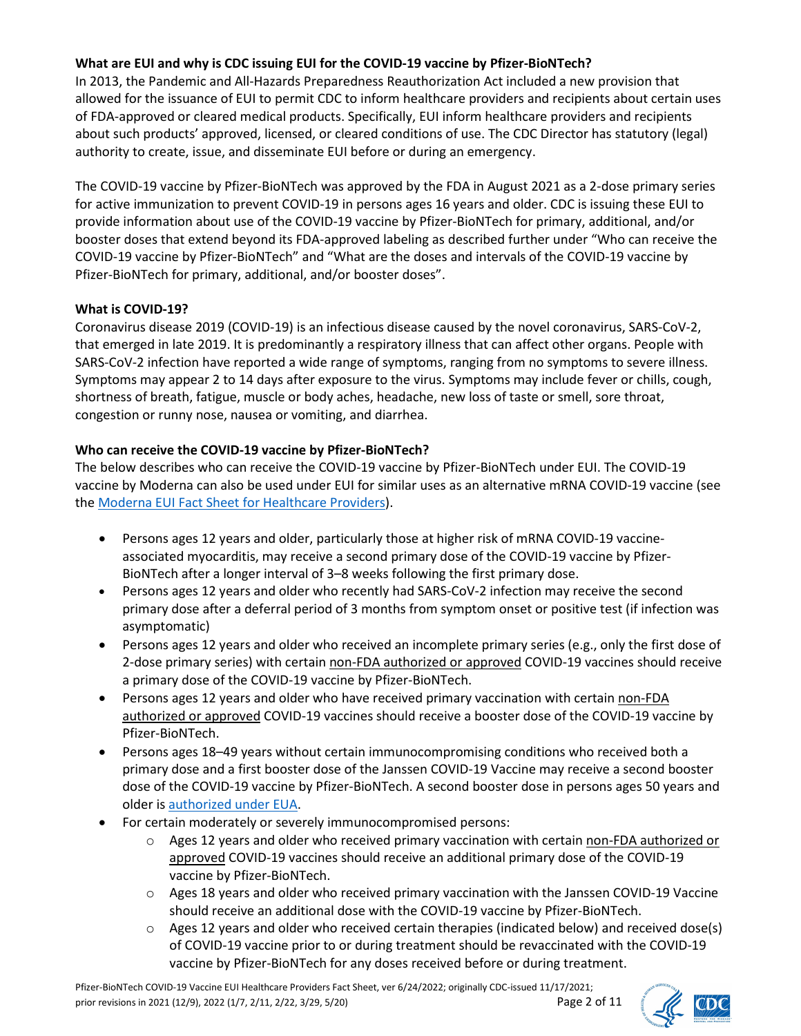### **What are EUI and why is CDC issuing EUI for the COVID-19 vaccine by Pfizer-BioNTech?**

In 2013, the Pandemic and All-Hazards Preparedness Reauthorization Act included a new provision that allowed for the issuance of EUI to permit CDC to inform healthcare providers and recipients about certain uses of FDA-approved or cleared medical products. Specifically, EUI inform healthcare providers and recipients about such products' approved, licensed, or cleared conditions of use. The CDC Director has statutory (legal) authority to create, issue, and disseminate EUI before or during an emergency.

The COVID-19 vaccine by Pfizer-BioNTech was approved by the FDA in August 2021 as a 2-dose primary series for active immunization to prevent COVID-19 in persons ages 16 years and older. CDC is issuing these EUI to provide information about use of the COVID-19 vaccine by Pfizer-BioNTech for primary, additional, and/or booster doses that extend beyond its FDA-approved labeling as described further under "Who can receive the COVID-19 vaccine by Pfizer-BioNTech" and "What are the doses and intervals of the COVID-19 vaccine by Pfizer-BioNTech for primary, additional, and/or booster doses".

## **What is COVID-19?**

Coronavirus disease 2019 (COVID-19) is an infectious disease caused by the novel coronavirus, SARS-CoV-2, that emerged in late 2019. It is predominantly a respiratory illness that can affect other organs. People with SARS-CoV-2 infection have reported a wide range of symptoms, ranging from no symptoms to severe illness. Symptoms may appear 2 to 14 days after exposure to the virus. Symptoms may include fever or chills, cough, shortness of breath, fatigue, muscle or body aches, headache, new loss of taste or smell, sore throat, congestion or runny nose, nausea or vomiting, and diarrhea.

## **Who can receive the COVID-19 vaccine by Pfizer-BioNTech?**

The below describes who can receive the COVID-19 vaccine by Pfizer-BioNTech under EUI. The COVID-19 vaccine by Moderna can also be used under EUI for similar uses as an alternative mRNA COVID-19 vaccine (see the [Moderna EUI Fact Sheet for Healthcare Providers\)](https://www.cdc.gov/vaccines/covid-19/eui/downloads/moderna-HCP.pdf).

- Persons ages 12 years and older, particularly those at higher risk of mRNA COVID-19 vaccineassociated myocarditis, may receive a second primary dose of the COVID-19 vaccine by Pfizer-BioNTech after a longer interval of 3–8 weeks following the first primary dose.
- Persons ages 12 years and older who recently had SARS-CoV-2 infection may receive the second primary dose after a deferral period of 3 months from symptom onset or positive test (if infection was asymptomatic)
- Persons ages 12 years and older who received an incomplete primary series (e.g., only the first dose of 2-dose primary series) with certain non-FDA authorized or approved COVID-19 vaccines should receive a primary dose of the COVID-19 vaccine by Pfizer-BioNTech.
- Persons ages 12 years and older who have received primary vaccination with certain non-FDA authorized or approved COVID-19 vaccines should receive a booster dose of the COVID-19 vaccine by Pfizer-BioNTech.
- Persons ages 18–49 years without certain immunocompromising conditions who received both a primary dose and a first booster dose of the Janssen COVID-19 Vaccine may receive a second booster dose of the COVID-19 vaccine by Pfizer-BioNTech. A second booster dose in persons ages 50 years and older is [authorized under EUA.](https://www.fda.gov/news-events/press-announcements/coronavirus-covid-19-update-fda-authorizes-second-booster-dose-two-covid-19-vaccines-older-and)
- For certain moderately or severely immunocompromised persons:
	- o Ages 12 years and older who received primary vaccination with certain non-FDA authorized or approved COVID-19 vaccines should receive an additional primary dose of the COVID-19 vaccine by Pfizer-BioNTech.
	- $\circ$  Ages 18 years and older who received primary vaccination with the Janssen COVID-19 Vaccine should receive an additional dose with the COVID-19 vaccine by Pfizer-BioNTech.
	- $\circ$  Ages 12 years and older who received certain therapies (indicated below) and received dose(s) of COVID-19 vaccine prior to or during treatment should be revaccinated with the COVID-19 vaccine by Pfizer-BioNTech for any doses received before or during treatment.



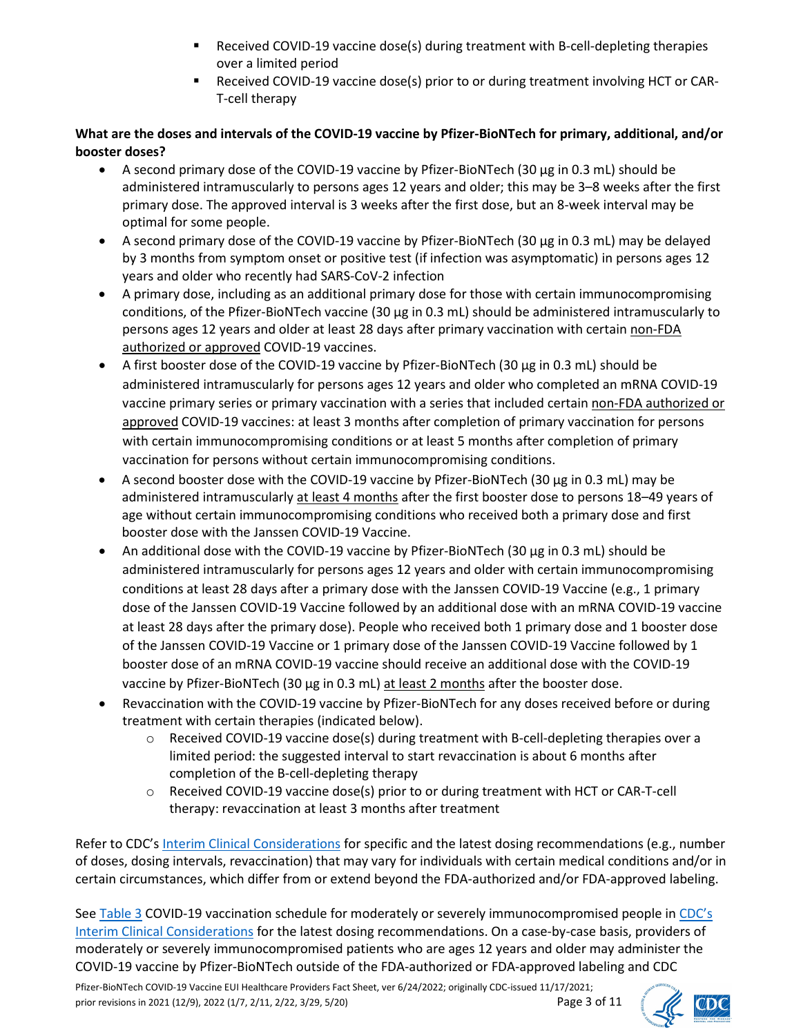- Received COVID-19 vaccine dose(s) during treatment with B-cell-depleting therapies over a limited period
- Received COVID-19 vaccine dose(s) prior to or during treatment involving HCT or CAR-T-cell therapy

# **What are the doses and intervals of the COVID-19 vaccine by Pfizer-BioNTech for primary, additional, and/or booster doses?**

- A second primary dose of the COVID-19 vaccine by Pfizer-BioNTech (30 μg in 0.3 mL) should be administered intramuscularly to persons ages 12 years and older; this may be 3–8 weeks after the first primary dose. The approved interval is 3 weeks after the first dose, but an 8-week interval may be optimal for some people.
- A second primary dose of the COVID-19 vaccine by Pfizer-BioNTech (30 μg in 0.3 mL) may be delayed by 3 months from symptom onset or positive test (if infection was asymptomatic) in persons ages 12 years and older who recently had SARS-CoV-2 infection
- A primary dose, including as an additional primary dose for those with certain immunocompromising conditions, of the Pfizer-BioNTech vaccine (30 μg in 0.3 mL) should be administered intramuscularly to persons ages 12 years and older at least 28 days after primary vaccination with certain non-FDA authorized or approved COVID-19 vaccines.
- A first booster dose of the COVID-19 vaccine by Pfizer-BioNTech (30 μg in 0.3 mL) should be administered intramuscularly for persons ages 12 years and older who completed an mRNA COVID-19 vaccine primary series or primary vaccination with a series that included certain non-FDA authorized or approved COVID-19 vaccines: at least 3 months after completion of primary vaccination for persons with certain immunocompromising conditions or at least 5 months after completion of primary vaccination for persons without certain immunocompromising conditions.
- A second booster dose with the COVID-19 vaccine by Pfizer-BioNTech (30 μg in 0.3 mL) may be administered intramuscularly at least 4 months after the first booster dose to persons 18–49 years of age without certain immunocompromising conditions who received both a primary dose and first booster dose with the Janssen COVID-19 Vaccine.
- An additional dose with the COVID-19 vaccine by Pfizer-BioNTech (30 μg in 0.3 mL) should be administered intramuscularly for persons ages 12 years and older with certain immunocompromising conditions at least 28 days after a primary dose with the Janssen COVID-19 Vaccine (e.g., 1 primary dose of the Janssen COVID-19 Vaccine followed by an additional dose with an mRNA COVID-19 vaccine at least 28 days after the primary dose). People who received both 1 primary dose and 1 booster dose of the Janssen COVID-19 Vaccine or 1 primary dose of the Janssen COVID-19 Vaccine followed by 1 booster dose of an mRNA COVID-19 vaccine should receive an additional dose with the COVID-19 vaccine by Pfizer-BioNTech (30 μg in 0.3 mL) at least 2 months after the booster dose.
- Revaccination with the COVID-19 vaccine by Pfizer-BioNTech for any doses received before or during treatment with certain therapies (indicated below).
	- o Received COVID-19 vaccine dose(s) during treatment with B-cell-depleting therapies over a limited period: the suggested interval to start revaccination is about 6 months after completion of the B-cell-depleting therapy
	- o Received COVID-19 vaccine dose(s) prior to or during treatment with HCT or CAR-T-cell therapy: revaccination at least 3 months after treatment

Refer to CDC's [Interim Clinical Considerations](https://www.cdc.gov/vaccines/covid-19/clinical-considerations/covid-19-vaccines-us.html) for specific and the latest dosing recommendations (e.g., number of doses, dosing intervals, revaccination) that may vary for individuals with certain medical conditions and/or in certain circumstances, which differ from or extend beyond the FDA-authorized and/or FDA-approved labeling.

See [Table 3](https://www.cdc.gov/vaccines/covid-19/clinical-considerations/interim-considerations-us.html#table-03) COVID-19 vaccination schedule for moderately or severely immunocompromised people in [CDC's](https://www.cdc.gov/vaccines/covid-19/clinical-considerations/covid-19-vaccines-us.html)  [Interim Clinical Considerations](https://www.cdc.gov/vaccines/covid-19/clinical-considerations/covid-19-vaccines-us.html) for the latest dosing recommendations. On a case-by-case basis, providers of moderately or severely immunocompromised patients who are ages 12 years and older may administer the COVID-19 vaccine by Pfizer-BioNTech outside of the FDA-authorized or FDA-approved labeling and CDC



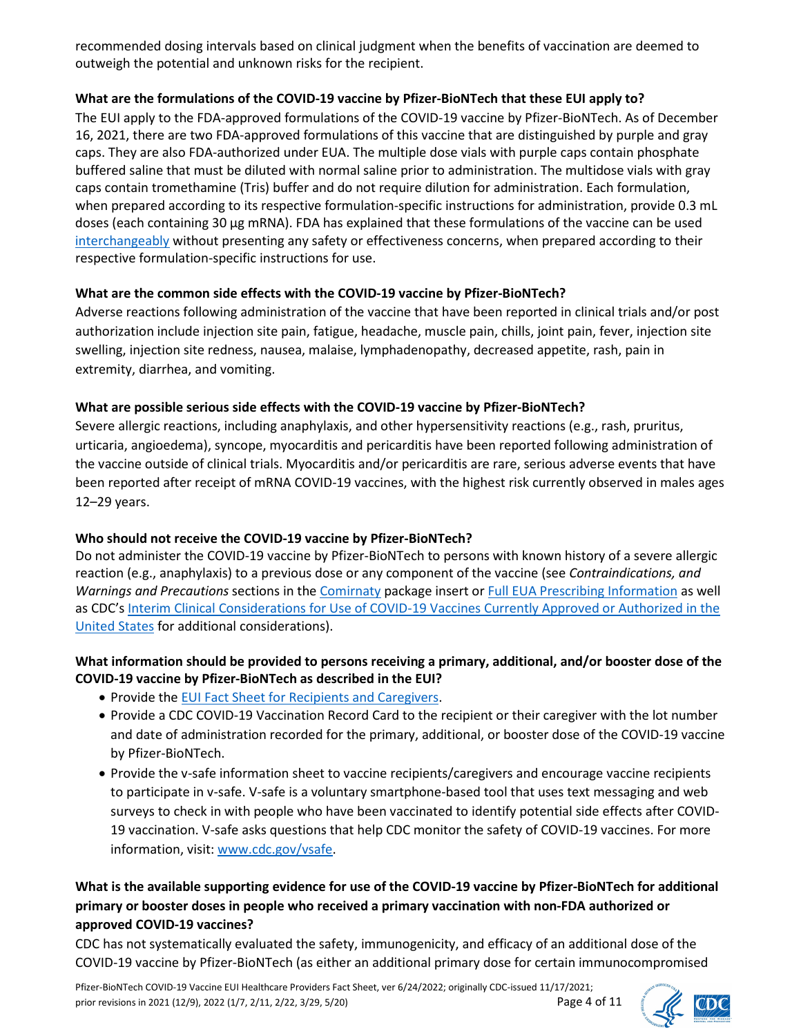recommended dosing intervals based on clinical judgment when the benefits of vaccination are deemed to outweigh the potential and unknown risks for the recipient.

## **What are the formulations of the COVID-19 vaccine by Pfizer-BioNTech that these EUI apply to?**

The EUI apply to the FDA-approved formulations of the COVID-19 vaccine by Pfizer-BioNTech. As of December 16, 2021, there are two FDA-approved formulations of this vaccine that are distinguished by purple and gray caps. They are also FDA-authorized under EUA. The multiple dose vials with purple caps contain phosphate buffered saline that must be diluted with normal saline prior to administration. The multidose vials with gray caps contain tromethamine (Tris) buffer and do not require dilution for administration. Each formulation, when prepared according to its respective formulation-specific instructions for administration, provide 0.3 mL doses (each containing 30 μg mRNA). FDA has explained that these formulations of the vaccine can be used [interchangeably](https://www.fda.gov/vaccines-blood-biologics/qa-comirnaty-covid-19-vaccine-mrna) without presenting any safety or effectiveness concerns, when prepared according to their respective formulation-specific instructions for use.

## **What are the common side effects with the COVID-19 vaccine by Pfizer-BioNTech?**

Adverse reactions following administration of the vaccine that have been reported in clinical trials and/or post authorization include injection site pain, fatigue, headache, muscle pain, chills, joint pain, fever, injection site swelling, injection site redness, nausea, malaise, lymphadenopathy, decreased appetite, rash, pain in extremity, diarrhea, and vomiting.

## **What are possible serious side effects with the COVID-19 vaccine by Pfizer-BioNTech?**

Severe allergic reactions, including anaphylaxis, and other hypersensitivity reactions (e.g., rash, pruritus, urticaria, angioedema), syncope, myocarditis and pericarditis have been reported following administration of the vaccine outside of clinical trials. Myocarditis and/or pericarditis are rare, serious adverse events that have been reported after receipt of mRNA COVID-19 vaccines, with the highest risk currently observed in males ages 12–29 years.

# **Who should not receive the COVID-19 vaccine by Pfizer-BioNTech?**

Do not administer the COVID-19 vaccine by Pfizer-BioNTech to persons with known history of a severe allergic reaction (e.g., anaphylaxis) to a previous dose or any component of the vaccine (see *Contraindications, and Warnings and Precautions* sections in th[e Comirnaty](https://www.fda.gov/media/151707/download) package insert or [Full EUA Prescribing Information](https://www.fda.gov/emergency-preparedness-and-response/coronavirus-disease-2019-covid-19/comirnaty-and-pfizer-biontech-covid-19-vaccine#comirnaty) as well as CDC'[s Interim Clinical Considerations for Use of COVID-19 Vaccines Currently Approved or Authorized in the](https://www.cdc.gov/vaccines/covid-19/clinical-considerations/covid-19-vaccines-us.html)  [United States](https://www.cdc.gov/vaccines/covid-19/clinical-considerations/covid-19-vaccines-us.html) for additional considerations).

## **What information should be provided to persons receiving a primary, additional, and/or booster dose of the COVID-19 vaccine by Pfizer-BioNTech as described in the EUI?**

- Provide th[e EUI Fact Sheet for Recipients and Caregivers.](https://www.cdc.gov/vaccines/covid-19/eui/downloads/Pfizer-Caregiver.pdf)
- Provide a CDC COVID-19 Vaccination Record Card to the recipient or their caregiver with the lot number and date of administration recorded for the primary, additional, or booster dose of the COVID-19 vaccine by Pfizer-BioNTech.
- Provide the v-safe information sheet to vaccine recipients/caregivers and encourage vaccine recipients to participate in v-safe. V-safe is a voluntary smartphone-based tool that uses text messaging and web surveys to check in with people who have been vaccinated to identify potential side effects after COVID-19 vaccination. V-safe asks questions that help CDC monitor the safety of COVID-19 vaccines. For more information, visit: [www.cdc.gov/vsafe.](http://www.cdc.gov/vsafe)

# **What is the available supporting evidence for use of the COVID-19 vaccine by Pfizer-BioNTech for additional primary or booster doses in people who received a primary vaccination with non-FDA authorized or approved COVID-19 vaccines?**

CDC has not systematically evaluated the safety, immunogenicity, and efficacy of an additional dose of the COVID-19 vaccine by Pfizer-BioNTech (as either an additional primary dose for certain immunocompromised

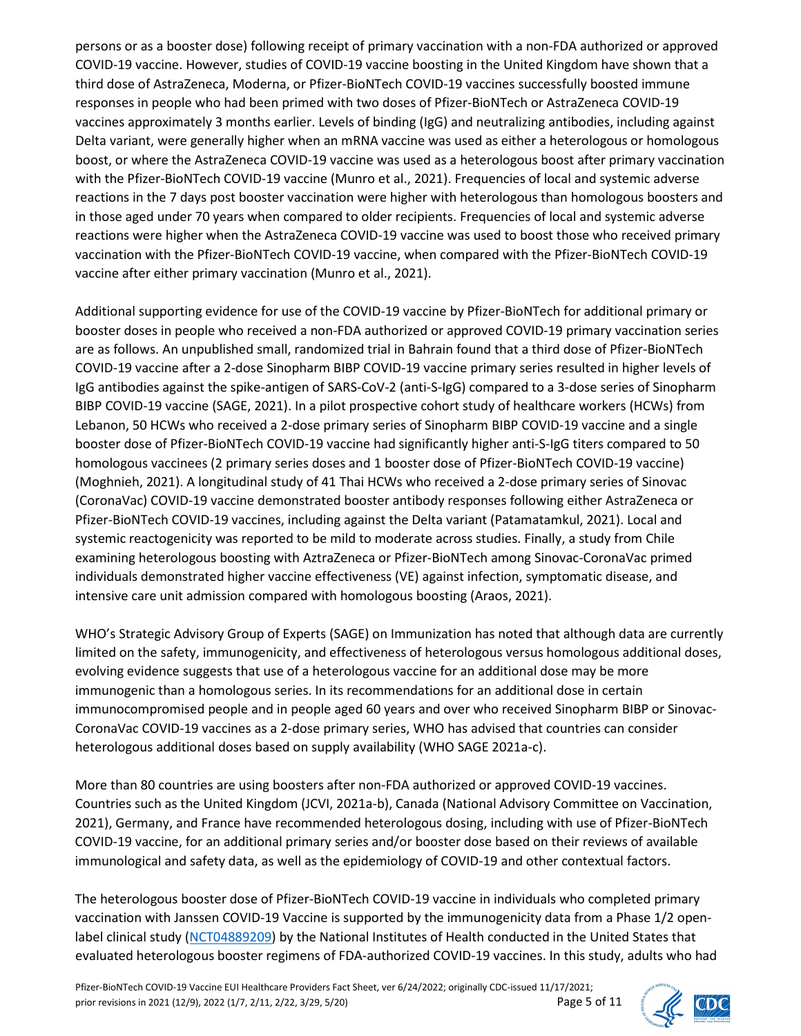persons or as a booster dose) following receipt of primary vaccination with a non-FDA authorized or approved COVID-19 vaccine. However, studies of COVID-19 vaccine boosting in the United Kingdom have shown that a third dose of AstraZeneca, Moderna, or Pfizer-BioNTech COVID-19 vaccines successfully boosted immune responses in people who had been primed with two doses of Pfizer-BioNTech or AstraZeneca COVID-19 vaccines approximately 3 months earlier. Levels of binding (IgG) and neutralizing antibodies, including against Delta variant, were generally higher when an mRNA vaccine was used as either a heterologous or homologous boost, or where the AstraZeneca COVID-19 vaccine was used as a heterologous boost after primary vaccination with the Pfizer-BioNTech COVID-19 vaccine (Munro et al., 2021). Frequencies of local and systemic adverse reactions in the 7 days post booster vaccination were higher with heterologous than homologous boosters and in those aged under 70 years when compared to older recipients. Frequencies of local and systemic adverse reactions were higher when the AstraZeneca COVID-19 vaccine was used to boost those who received primary vaccination with the Pfizer-BioNTech COVID-19 vaccine, when compared with the Pfizer-BioNTech COVID-19 vaccine after either primary vaccination (Munro et al., 2021).

Additional supporting evidence for use of the COVID-19 vaccine by Pfizer-BioNTech for additional primary or booster doses in people who received a non-FDA authorized or approved COVID-19 primary vaccination series are as follows. An unpublished small, randomized trial in Bahrain found that a third dose of Pfizer-BioNTech COVID-19 vaccine after a 2-dose Sinopharm BIBP COVID-19 vaccine primary series resulted in higher levels of IgG antibodies against the spike-antigen of SARS-CoV-2 (anti-S-IgG) compared to a 3-dose series of Sinopharm BIBP COVID-19 vaccine (SAGE, 2021). In a pilot prospective cohort study of healthcare workers (HCWs) from Lebanon, 50 HCWs who received a 2-dose primary series of Sinopharm BIBP COVID-19 vaccine and a single booster dose of Pfizer-BioNTech COVID-19 vaccine had significantly higher anti-S-IgG titers compared to 50 homologous vaccinees (2 primary series doses and 1 booster dose of Pfizer-BioNTech COVID-19 vaccine) (Moghnieh, 2021). A longitudinal study of 41 Thai HCWs who received a 2-dose primary series of Sinovac (CoronaVac) COVID-19 vaccine demonstrated booster antibody responses following either AstraZeneca or Pfizer-BioNTech COVID-19 vaccines, including against the Delta variant (Patamatamkul, 2021). Local and systemic reactogenicity was reported to be mild to moderate across studies. Finally, a study from Chile examining heterologous boosting with AztraZeneca or Pfizer-BioNTech among Sinovac-CoronaVac primed individuals demonstrated higher vaccine effectiveness (VE) against infection, symptomatic disease, and intensive care unit admission compared with homologous boosting (Araos, 2021).

WHO's Strategic Advisory Group of Experts (SAGE) on Immunization has noted that although data are currently limited on the safety, immunogenicity, and effectiveness of heterologous versus homologous additional doses, evolving evidence suggests that use of a heterologous vaccine for an additional dose may be more immunogenic than a homologous series. In its recommendations for an additional dose in certain immunocompromised people and in people aged 60 years and over who received Sinopharm BIBP or Sinovac-CoronaVac COVID-19 vaccines as a 2-dose primary series, WHO has advised that countries can consider heterologous additional doses based on supply availability (WHO SAGE 2021a-c).

More than 80 countries are using boosters after non-FDA authorized or approved COVID-19 vaccines. Countries such as the United Kingdom (JCVI, 2021a-b), Canada (National Advisory Committee on Vaccination, 2021), Germany, and France have recommended heterologous dosing, including with use of Pfizer-BioNTech COVID-19 vaccine, for an additional primary series and/or booster dose based on their reviews of available immunological and safety data, as well as the epidemiology of COVID-19 and other contextual factors.

The heterologous booster dose of Pfizer-BioNTech COVID-19 vaccine in individuals who completed primary vaccination with Janssen COVID-19 Vaccine is supported by the immunogenicity data from a Phase 1/2 openlabel clinical study [\(NCT04889209\)](https://clinicaltrials.gov/ct2/show/NCT04889209) by the National Institutes of Health conducted in the United States that evaluated heterologous booster regimens of FDA-authorized COVID-19 vaccines. In this study, adults who had

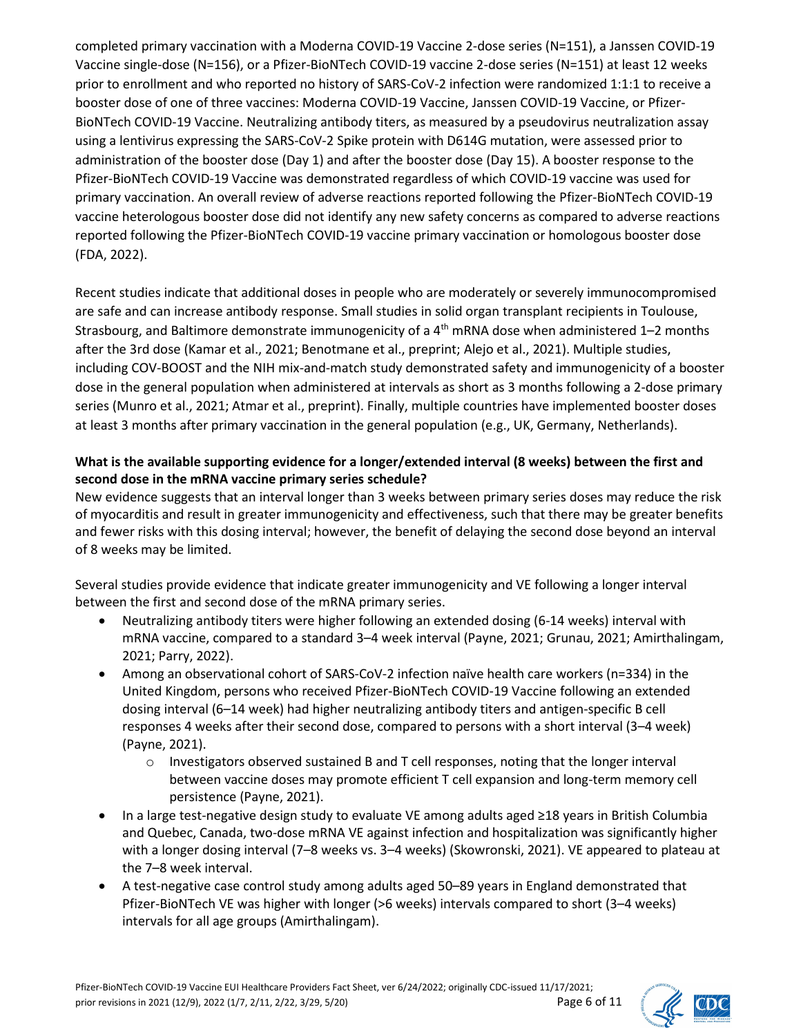completed primary vaccination with a Moderna COVID-19 Vaccine 2-dose series (N=151), a Janssen COVID-19 Vaccine single-dose (N=156), or a Pfizer-BioNTech COVID-19 vaccine 2-dose series (N=151) at least 12 weeks prior to enrollment and who reported no history of SARS-CoV-2 infection were randomized 1:1:1 to receive a booster dose of one of three vaccines: Moderna COVID-19 Vaccine, Janssen COVID-19 Vaccine, or Pfizer-BioNTech COVID-19 Vaccine. Neutralizing antibody titers, as measured by a pseudovirus neutralization assay using a lentivirus expressing the SARS-CoV-2 Spike protein with D614G mutation, were assessed prior to administration of the booster dose (Day 1) and after the booster dose (Day 15). A booster response to the Pfizer-BioNTech COVID-19 Vaccine was demonstrated regardless of which COVID-19 vaccine was used for primary vaccination. An overall review of adverse reactions reported following the Pfizer-BioNTech COVID-19 vaccine heterologous booster dose did not identify any new safety concerns as compared to adverse reactions reported following the Pfizer-BioNTech COVID-19 vaccine primary vaccination or homologous booster dose (FDA, 2022).

Recent studies indicate that additional doses in people who are moderately or severely immunocompromised are safe and can increase antibody response. Small studies in solid organ transplant recipients in Toulouse, Strasbourg, and Baltimore demonstrate immunogenicity of a 4<sup>th</sup> mRNA dose when administered 1-2 months after the 3rd dose (Kamar et al., 2021; Benotmane et al., preprint; Alejo et al., 2021). Multiple studies, including COV-BOOST and the NIH mix-and-match study demonstrated safety and immunogenicity of a booster dose in the general population when administered at intervals as short as 3 months following a 2-dose primary series (Munro et al., 2021; Atmar et al., preprint). Finally, multiple countries have implemented booster doses at least 3 months after primary vaccination in the general population (e.g., UK, Germany, Netherlands).

## **What is the available supporting evidence for a longer/extended interval (8 weeks) between the first and second dose in the mRNA vaccine primary series schedule?**

New evidence suggests that an interval longer than 3 weeks between primary series doses may reduce the risk of myocarditis and result in greater immunogenicity and effectiveness, such that there may be greater benefits and fewer risks with this dosing interval; however, the benefit of delaying the second dose beyond an interval of 8 weeks may be limited.

Several studies provide evidence that indicate greater immunogenicity and VE following a longer interval between the first and second dose of the mRNA primary series.

- Neutralizing antibody titers were higher following an extended dosing (6-14 weeks) interval with mRNA vaccine, compared to a standard 3–4 week interval (Payne, 2021; Grunau, 2021; Amirthalingam, 2021; Parry, 2022).
- Among an observational cohort of SARS-CoV-2 infection naïve health care workers (n=334) in the United Kingdom, persons who received Pfizer-BioNTech COVID-19 Vaccine following an extended dosing interval (6–14 week) had higher neutralizing antibody titers and antigen-specific B cell responses 4 weeks after their second dose, compared to persons with a short interval (3–4 week) (Payne, 2021).
	- o Investigators observed sustained B and T cell responses, noting that the longer interval between vaccine doses may promote efficient T cell expansion and long-term memory cell persistence (Payne, 2021).
- In a large test-negative design study to evaluate VE among adults aged ≥18 years in British Columbia and Quebec, Canada, two-dose mRNA VE against infection and hospitalization was significantly higher with a longer dosing interval (7–8 weeks vs. 3–4 weeks) (Skowronski, 2021). VE appeared to plateau at the 7–8 week interval.
- A test-negative case control study among adults aged 50–89 years in England demonstrated that Pfizer-BioNTech VE was higher with longer (>6 weeks) intervals compared to short (3–4 weeks) intervals for all age groups (Amirthalingam).

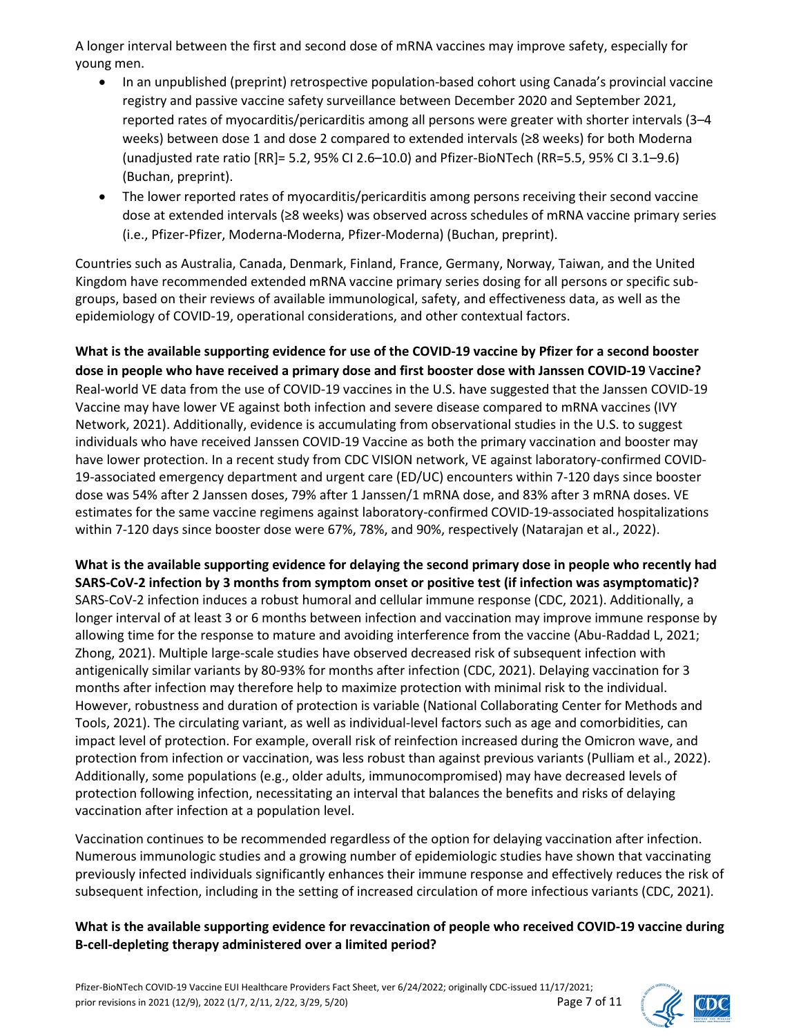A longer interval between the first and second dose of mRNA vaccines may improve safety, especially for young men.

- In an unpublished (preprint) retrospective population-based cohort using Canada's provincial vaccine registry and passive vaccine safety surveillance between December 2020 and September 2021, reported rates of myocarditis/pericarditis among all persons were greater with shorter intervals (3–4 weeks) between dose 1 and dose 2 compared to extended intervals (≥8 weeks) for both Moderna (unadjusted rate ratio [RR]= 5.2, 95% CI 2.6–10.0) and Pfizer-BioNTech (RR=5.5, 95% CI 3.1–9.6) (Buchan, preprint).
- The lower reported rates of myocarditis/pericarditis among persons receiving their second vaccine dose at extended intervals (≥8 weeks) was observed across schedules of mRNA vaccine primary series (i.e., Pfizer-Pfizer, Moderna-Moderna, Pfizer-Moderna) (Buchan, preprint).

Countries such as Australia, Canada, Denmark, Finland, France, Germany, Norway, Taiwan, and the United Kingdom have recommended extended mRNA vaccine primary series dosing for all persons or specific subgroups, based on their reviews of available immunological, safety, and effectiveness data, as well as the epidemiology of COVID-19, operational considerations, and other contextual factors.

**What is the available supporting evidence for use of the COVID-19 vaccine by Pfizer for a second booster dose in people who have received a primary dose and first booster dose with Janssen COVID-19** V**accine?** Real-world VE data from the use of COVID-19 vaccines in the U.S. have suggested that the Janssen COVID-19 Vaccine may have lower VE against both infection and severe disease compared to mRNA vaccines (IVY Network, 2021). Additionally, evidence is accumulating from observational studies in the U.S. to suggest individuals who have received Janssen COVID-19 Vaccine as both the primary vaccination and booster may have lower protection. In a recent study from CDC VISION network, VE against laboratory-confirmed COVID-19-associated emergency department and urgent care (ED/UC) encounters within 7-120 days since booster dose was 54% after 2 Janssen doses, 79% after 1 Janssen/1 mRNA dose, and 83% after 3 mRNA doses. VE estimates for the same vaccine regimens against laboratory-confirmed COVID-19-associated hospitalizations within 7-120 days since booster dose were 67%, 78%, and 90%, respectively (Natarajan et al., 2022).

**What is the available supporting evidence for delaying the second primary dose in people who recently had SARS-CoV-2 infection by 3 months from symptom onset or positive test (if infection was asymptomatic)?** SARS-CoV-2 infection induces a robust humoral and cellular immune response (CDC, 2021). Additionally, a longer interval of at least 3 or 6 months between infection and vaccination may improve immune response by allowing time for the response to mature and avoiding interference from the vaccine (Abu-Raddad L, 2021; Zhong, 2021). Multiple large-scale studies have observed decreased risk of subsequent infection with antigenically similar variants by 80-93% for months after infection (CDC, 2021). Delaying vaccination for 3 months after infection may therefore help to maximize protection with minimal risk to the individual. However, robustness and duration of protection is variable (National Collaborating Center for Methods and Tools, 2021). The circulating variant, as well as individual-level factors such as age and comorbidities, can impact level of protection. For example, overall risk of reinfection increased during the Omicron wave, and protection from infection or vaccination, was less robust than against previous variants (Pulliam et al., 2022). Additionally, some populations (e.g., older adults, immunocompromised) may have decreased levels of protection following infection, necessitating an interval that balances the benefits and risks of delaying vaccination after infection at a population level.

Vaccination continues to be recommended regardless of the option for delaying vaccination after infection. Numerous immunologic studies and a growing number of epidemiologic studies have shown that vaccinating previously infected individuals significantly enhances their immune response and effectively reduces the risk of subsequent infection, including in the setting of increased circulation of more infectious variants (CDC, 2021).

#### **What is the available supporting evidence for revaccination of people who received COVID-19 vaccine during B-cell-depleting therapy administered over a limited period?**

Pfizer-BioNTech COVID-19 Vaccine EUI Healthcare Providers Fact Sheet, ver 6/24/2022; originally CDC-issued 11/17/2021; prior revisions in 2021 (12/9), 2022 (1/7, 2/11, 2/22, 3/29, 5/20) Page 7 of 11

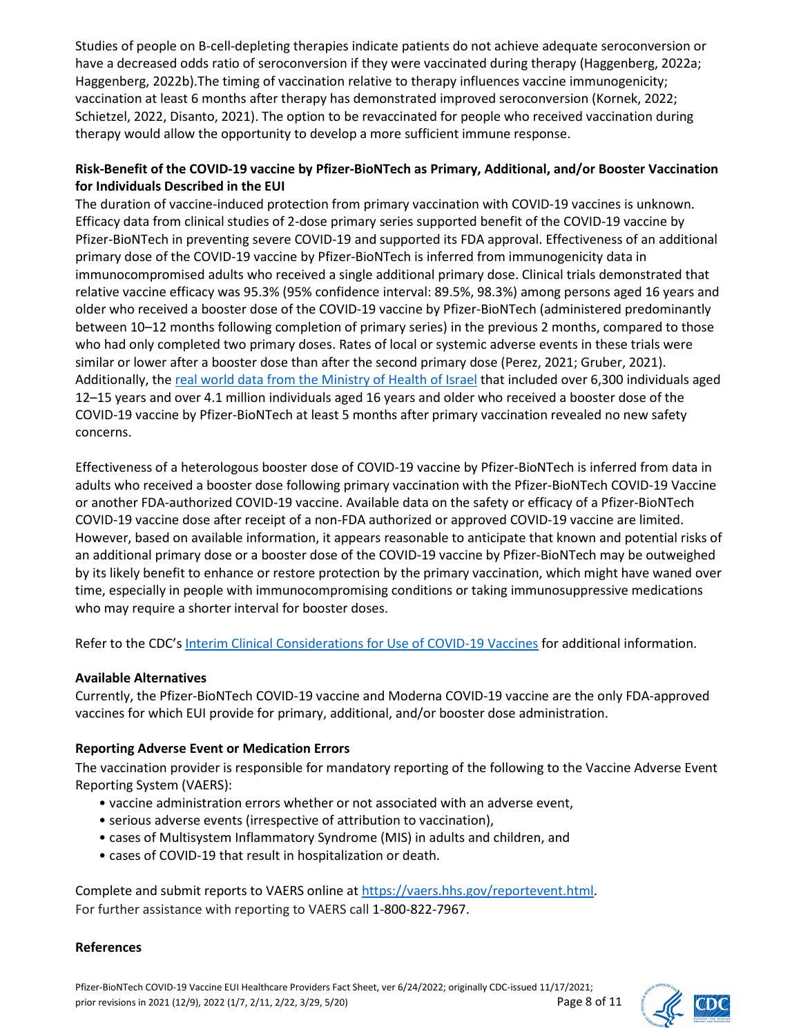Studies of people on B-cell-depleting therapies indicate patients do not achieve adequate seroconversion or have a decreased odds ratio of seroconversion if they were vaccinated during therapy (Haggenberg, 2022a; Haggenberg, 2022b).The timing of vaccination relative to therapy influences vaccine immunogenicity; vaccination at least 6 months after therapy has demonstrated improved seroconversion (Kornek, 2022; Schietzel, 2022, Disanto, 2021). The option to be revaccinated for people who received vaccination during therapy would allow the opportunity to develop a more sufficient immune response.

#### **Risk-Benefit of the COVID-19 vaccine by Pfizer-BioNTech as Primary, Additional, and/or Booster Vaccination for Individuals Described in the EUI**

The duration of vaccine-induced protection from primary vaccination with COVID-19 vaccines is unknown. Efficacy data from clinical studies of 2-dose primary series supported benefit of the COVID-19 vaccine by Pfizer-BioNTech in preventing severe COVID-19 and supported its FDA approval. Effectiveness of an additional primary dose of the COVID-19 vaccine by Pfizer-BioNTech is inferred from immunogenicity data in immunocompromised adults who received a single additional primary dose. Clinical trials demonstrated that relative vaccine efficacy was 95.3% (95% confidence interval: 89.5%, 98.3%) among persons aged 16 years and older who received a booster dose of the COVID-19 vaccine by Pfizer-BioNTech (administered predominantly between 10–12 months following completion of primary series) in the previous 2 months, compared to those who had only completed two primary doses. Rates of local or systemic adverse events in these trials were similar or lower after a booster dose than after the second primary dose (Perez, 2021; Gruber, 2021). Additionally, the [real world data from the Ministry of Health of Israel](https://www.fda.gov/news-events/press-announcements/coronavirus-covid-19-update-fda-takes-multiple-actions-expand-use-pfizer-biontech-covid-19-vaccine) that included over 6,300 individuals aged 12–15 years and over 4.1 million individuals aged 16 years and older who received a booster dose of the COVID-19 vaccine by Pfizer-BioNTech at least 5 months after primary vaccination revealed no new safety concerns.

Effectiveness of a heterologous booster dose of COVID-19 vaccine by Pfizer-BioNTech is inferred from data in adults who received a booster dose following primary vaccination with the Pfizer-BioNTech COVID-19 Vaccine or another FDA-authorized COVID-19 vaccine. Available data on the safety or efficacy of a Pfizer-BioNTech COVID-19 vaccine dose after receipt of a non-FDA authorized or approved COVID-19 vaccine are limited. However, based on available information, it appears reasonable to anticipate that known and potential risks of an additional primary dose or a booster dose of the COVID-19 vaccine by Pfizer-BioNTech may be outweighed by its likely benefit to enhance or restore protection by the primary vaccination, which might have waned over time, especially in people with immunocompromising conditions or taking immunosuppressive medications who may require a shorter interval for booster doses.

Refer to the CDC'[s Interim Clinical Considerations for Use of COVID-19 Vaccines](https://www.cdc.gov/vaccines/covid-19/clinical-considerations/covid-19-vaccines-us.html#overview-covid19-vax-recommendations) for additional information.

#### **Available Alternatives**

Currently, the Pfizer-BioNTech COVID-19 vaccine and Moderna COVID-19 vaccine are the only FDA-approved vaccines for which EUI provide for primary, additional, and/or booster dose administration.

#### **Reporting Adverse Event or Medication Errors**

The vaccination provider is responsible for mandatory reporting of the following to the Vaccine Adverse Event Reporting System (VAERS):

- vaccine administration errors whether or not associated with an adverse event,
- serious adverse events (irrespective of attribution to vaccination),
- cases of Multisystem Inflammatory Syndrome (MIS) in adults and children, and
- cases of COVID-19 that result in hospitalization or death.

Complete and submit reports to VAERS online a[t https://vaers.hhs.gov/reportevent.html.](https://vaers.hhs.gov/reportevent.html) For further assistance with reporting to VAERS call 1-800-822-7967.

#### **References**

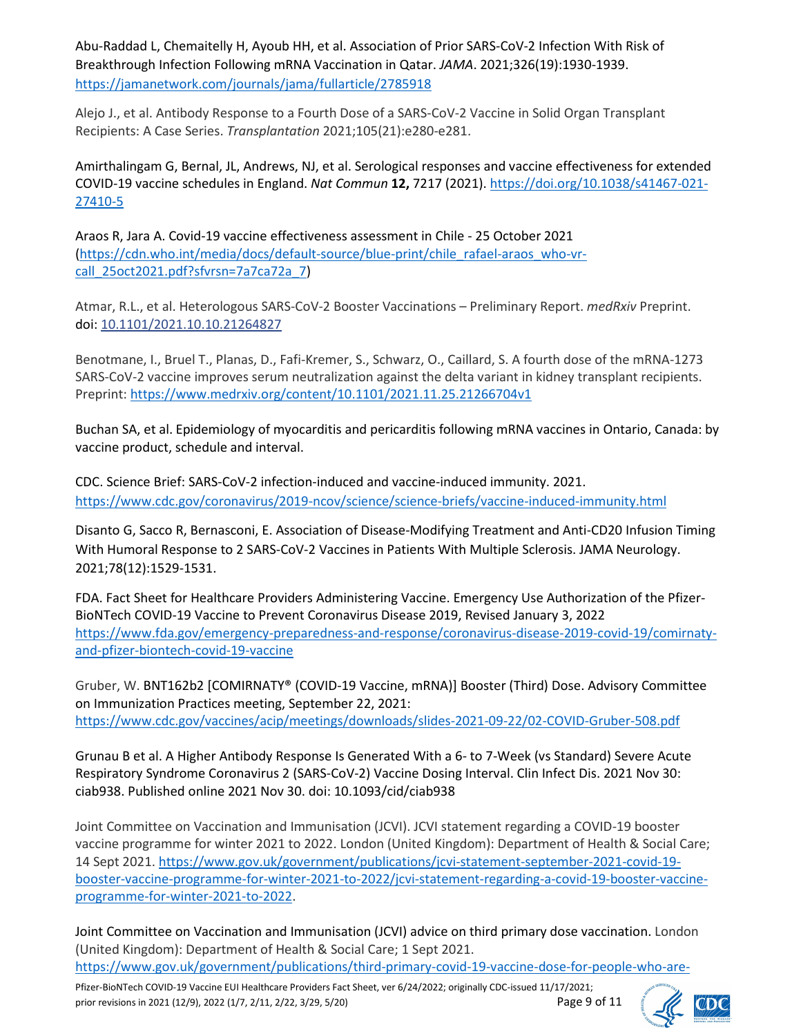Abu-Raddad L, Chemaitelly H, Ayoub HH, et al. Association of Prior SARS-CoV-2 Infection With Risk of Breakthrough Infection Following mRNA Vaccination in Qatar. *JAMA*. 2021;326(19):1930-1939. <https://jamanetwork.com/journals/jama/fullarticle/2785918>

Alejo J., et al. Antibody Response to a Fourth Dose of a SARS-CoV-2 Vaccine in Solid Organ Transplant Recipients: A Case Series. *Transplantation* 2021;105(21):e280-e281.

Amirthalingam G, Bernal, JL, Andrews, NJ, et al. Serological responses and vaccine effectiveness for extended COVID-19 vaccine schedules in England. *Nat Commun* **12,** 7217 (2021)[. https://doi.org/10.1038/s41467-021-](https://doi.org/10.1038/s41467-021-27410-5) [27410-5](https://doi.org/10.1038/s41467-021-27410-5)

Araos R, Jara A. Covid-19 vaccine effectiveness assessment in Chile - 25 October 2021 [\(https://cdn.who.int/media/docs/default-source/blue-print/chile\\_rafael-araos\\_who-vr](https://cdn.who.int/media/docs/default-source/blue-print/chile_rafael-araos_who-vr-call_25oct2021.pdf?sfvrsn=7a7ca72a_7)[call\\_25oct2021.pdf?sfvrsn=7a7ca72a\\_7\)](https://cdn.who.int/media/docs/default-source/blue-print/chile_rafael-araos_who-vr-call_25oct2021.pdf?sfvrsn=7a7ca72a_7)

Atmar, R.L., et al. Heterologous SARS-CoV-2 Booster Vaccinations – Preliminary Report. *medRxiv* Preprint. doi: [10.1101/2021.10.10.21264827](https://dx.doi.org/10.1101%2F2021.10.10.21264827)

Benotmane, I., Bruel T., Planas, D., Fafi-Kremer, S., Schwarz, O., Caillard, S. A fourth dose of the mRNA-1273 SARS-CoV-2 vaccine improves serum neutralization against the delta variant in kidney transplant recipients. Preprint[: https://www.medrxiv.org/content/10.1101/2021.11.25.21266704v1](https://www.medrxiv.org/content/10.1101/2021.11.25.21266704v1)

Buchan SA, et al. Epidemiology of myocarditis and pericarditis following mRNA vaccines in Ontario, Canada: by vaccine product, schedule and interval.

CDC. Science Brief: SARS-CoV-2 infection-induced and vaccine-induced immunity. 2021. <https://www.cdc.gov/coronavirus/2019-ncov/science/science-briefs/vaccine-induced-immunity.html>

Disanto G, Sacco R, Bernasconi, E. Association of Disease-Modifying Treatment and Anti-CD20 Infusion Timing With Humoral Response to 2 SARS-CoV-2 Vaccines in Patients With Multiple Sclerosis. JAMA Neurology. 2021;78(12):1529-1531.

FDA. Fact Sheet for Healthcare Providers Administering Vaccine. Emergency Use Authorization of the Pfizer-BioNTech COVID-19 Vaccine to Prevent Coronavirus Disease 2019, Revised January 3, 2022 [https://www.fda.gov/emergency-preparedness-and-response/coronavirus-disease-2019-covid-19/comirnaty](https://www.fda.gov/emergency-preparedness-and-response/coronavirus-disease-2019-covid-19/comirnaty-and-pfizer-biontech-covid-19-vaccine)[and-pfizer-biontech-covid-19-vaccine](https://www.fda.gov/emergency-preparedness-and-response/coronavirus-disease-2019-covid-19/comirnaty-and-pfizer-biontech-covid-19-vaccine)

Gruber, W. BNT162b2 [COMIRNATY® (COVID-19 Vaccine, mRNA)] Booster (Third) Dose. Advisory Committee on Immunization Practices meeting, September 22, 2021: <https://www.cdc.gov/vaccines/acip/meetings/downloads/slides-2021-09-22/02-COVID-Gruber-508.pdf>

Grunau B et al. A Higher Antibody Response Is Generated With a 6- to 7-Week (vs Standard) Severe Acute Respiratory Syndrome Coronavirus 2 (SARS-CoV-2) Vaccine Dosing Interval. Clin Infect Dis. 2021 Nov 30: ciab938. Published online 2021 Nov 30. doi: 10.1093/cid/ciab938

Joint Committee on Vaccination and Immunisation (JCVI). JCVI statement regarding a COVID-19 booster vaccine programme for winter 2021 to 2022. London (United Kingdom): Department of Health & Social Care; 14 Sept 2021. [https://www.gov.uk/government/publications/jcvi-statement-september-2021-covid-19](https://www.gov.uk/government/publications/jcvi-statement-september-2021-covid-19-booster-vaccine-programme-for-winter-2021-to-2022/jcvi-statement-regarding-a-covid-19-booster-vaccine-programme-for-winter-2021-to-2022) [booster-vaccine-programme-for-winter-2021-to-2022/jcvi-statement-regarding-a-covid-19-booster-vaccine](https://www.gov.uk/government/publications/jcvi-statement-september-2021-covid-19-booster-vaccine-programme-for-winter-2021-to-2022/jcvi-statement-regarding-a-covid-19-booster-vaccine-programme-for-winter-2021-to-2022)[programme-for-winter-2021-to-2022.](https://www.gov.uk/government/publications/jcvi-statement-september-2021-covid-19-booster-vaccine-programme-for-winter-2021-to-2022/jcvi-statement-regarding-a-covid-19-booster-vaccine-programme-for-winter-2021-to-2022)

Joint Committee on Vaccination and Immunisation (JCVI) advice on third primary dose vaccination. London (United Kingdom): Department of Health & Social Care; 1 Sept 2021.

[https://www.gov.uk/government/publications/third-primary-covid-19-vaccine-dose-for-people-who-are-](https://www.gov.uk/government/publications/third-primary-covid-19-vaccine-dose-for-people-who-are-immunosuppressed-jcvi-advice/joint-committee-on-vaccination-and-immunisation-jcvi-advice-on-third-primary-dose-vaccination.%2010)

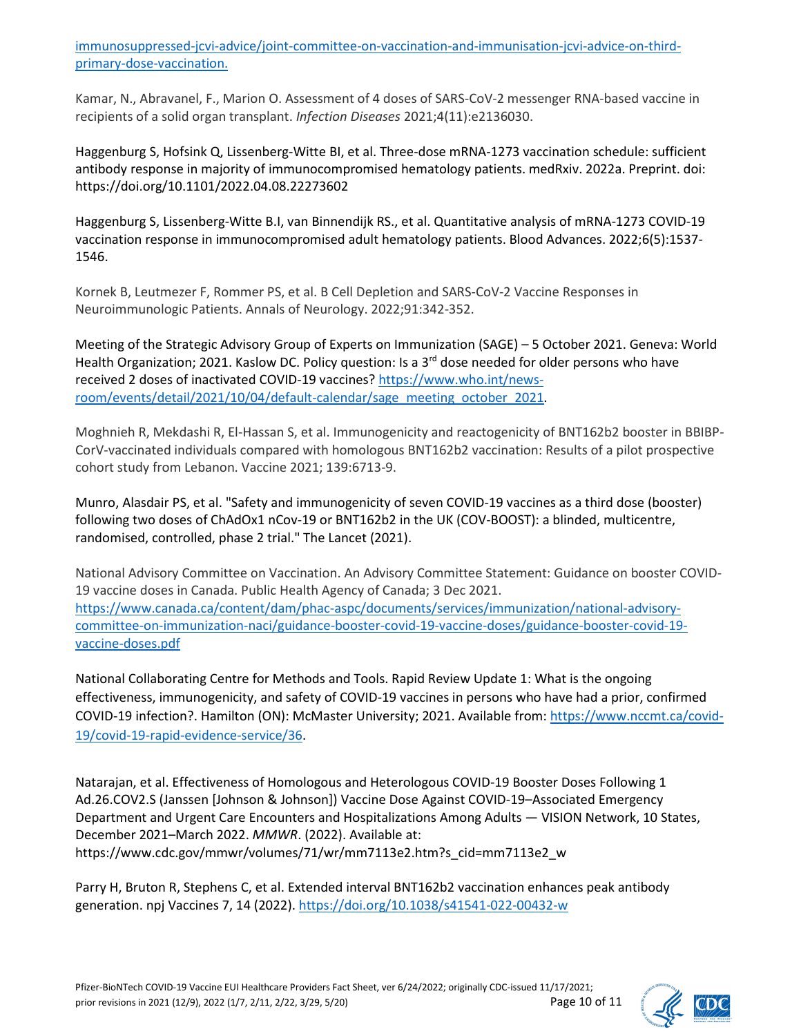[immunosuppressed-jcvi-advice/joint-committee-on-vaccination-and-immunisation-jcvi-advice-on-third](https://www.gov.uk/government/publications/third-primary-covid-19-vaccine-dose-for-people-who-are-immunosuppressed-jcvi-advice/joint-committee-on-vaccination-and-immunisation-jcvi-advice-on-third-primary-dose-vaccination.%2010)[primary-dose-vaccination.](https://www.gov.uk/government/publications/third-primary-covid-19-vaccine-dose-for-people-who-are-immunosuppressed-jcvi-advice/joint-committee-on-vaccination-and-immunisation-jcvi-advice-on-third-primary-dose-vaccination.%2010) 

Kamar, N., Abravanel, F., Marion O. Assessment of 4 doses of SARS-CoV-2 messenger RNA-based vaccine in recipients of a solid organ transplant. *Infection Diseases* 2021;4(11):e2136030.

Haggenburg S, Hofsink Q, Lissenberg-Witte BI, et al. Three-dose mRNA-1273 vaccination schedule: sufficient antibody response in majority of immunocompromised hematology patients. medRxiv. 2022a. Preprint. doi: https://doi.org/10.1101/2022.04.08.22273602

Haggenburg S, Lissenberg-Witte B.I, van Binnendijk RS., et al. Quantitative analysis of mRNA-1273 COVID-19 vaccination response in immunocompromised adult hematology patients. Blood Advances. 2022;6(5):1537- 1546.

Kornek B, Leutmezer F, Rommer PS, et al. B Cell Depletion and SARS-CoV-2 Vaccine Responses in Neuroimmunologic Patients. Annals of Neurology. 2022;91:342-352.

Meeting of the Strategic Advisory Group of Experts on Immunization (SAGE) – 5 October 2021. Geneva: World Health Organization; 2021. Kaslow DC. Policy question: Is a  $3<sup>rd</sup>$  dose needed for older persons who have received 2 doses of inactivated COVID-19 vaccines? [https://www.who.int/news](https://www.who.int/news-room/events/detail/2021/10/04/default-calendar/sage_meeting_october_2021)[room/events/detail/2021/10/04/default-calendar/sage\\_meeting\\_october\\_2021.](https://www.who.int/news-room/events/detail/2021/10/04/default-calendar/sage_meeting_october_2021)

Moghnieh R, Mekdashi R, El-Hassan S, et al. Immunogenicity and reactogenicity of BNT162b2 booster in BBIBP-CorV-vaccinated individuals compared with homologous BNT162b2 vaccination: Results of a pilot prospective cohort study from Lebanon. Vaccine 2021; 139:6713-9.

Munro, Alasdair PS, et al. "Safety and immunogenicity of seven COVID-19 vaccines as a third dose (booster) following two doses of ChAdOx1 nCov-19 or BNT162b2 in the UK (COV-BOOST): a blinded, multicentre, randomised, controlled, phase 2 trial." The Lancet (2021).

National Advisory Committee on Vaccination. An Advisory Committee Statement: Guidance on booster COVID-19 vaccine doses in Canada. Public Health Agency of Canada; 3 Dec 2021. [https://www.canada.ca/content/dam/phac-aspc/documents/services/immunization/national-advisory](https://www.canada.ca/content/dam/phac-aspc/documents/services/immunization/national-advisory-committee-on-immunization-naci/guidance-booster-covid-19-vaccine-doses/guidance-booster-covid-19-vaccine-doses.pdf)[committee-on-immunization-naci/guidance-booster-covid-19-vaccine-doses/guidance-booster-covid-19](https://www.canada.ca/content/dam/phac-aspc/documents/services/immunization/national-advisory-committee-on-immunization-naci/guidance-booster-covid-19-vaccine-doses/guidance-booster-covid-19-vaccine-doses.pdf) [vaccine-doses.pdf](https://www.canada.ca/content/dam/phac-aspc/documents/services/immunization/national-advisory-committee-on-immunization-naci/guidance-booster-covid-19-vaccine-doses/guidance-booster-covid-19-vaccine-doses.pdf)

National Collaborating Centre for Methods and Tools. Rapid Review Update 1: What is the ongoing effectiveness, immunogenicity, and safety of COVID-19 vaccines in persons who have had a prior, confirmed COVID-19 infection?. Hamilton (ON): McMaster University; 2021. Available from[: https://www.nccmt.ca/covid-](https://www.nccmt.ca/covid-19/covid-19-rapid-evidence-service/36)[19/covid-19-rapid-evidence-service/36.](https://www.nccmt.ca/covid-19/covid-19-rapid-evidence-service/36)

Natarajan, et al. Effectiveness of Homologous and Heterologous COVID-19 Booster Doses Following 1 Ad.26.COV2.S (Janssen [Johnson & Johnson]) Vaccine Dose Against COVID-19–Associated Emergency Department and Urgent Care Encounters and Hospitalizations Among Adults — VISION Network, 10 States, December 2021–March 2022. *MMWR*. (2022). Available at: https://www.cdc.gov/mmwr/volumes/71/wr/mm7113e2.htm?s\_cid=mm7113e2\_w

Parry H, Bruton R, Stephens C, et al. Extended interval BNT162b2 vaccination enhances peak antibody generation. npj Vaccines 7, 14 (2022)[. https://doi.org/10.1038/s41541-022-00432-w](https://doi.org/10.1038/s41541-022-00432-w)